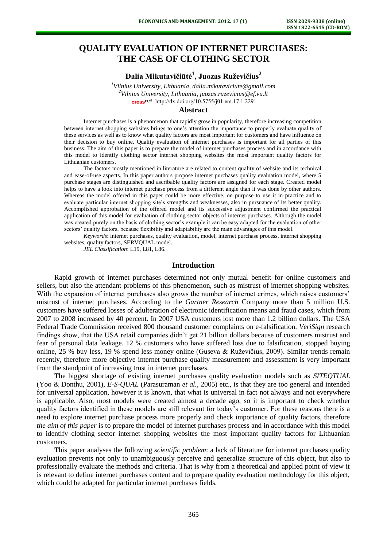# **QUALITY EVALUATION OF INTERNET PURCHASES: THE CASE OF CLOTHING SECTOR**

## **Dalia Mikutavičiūtė<sup>1</sup> , Juozas Ruževičius<sup>2</sup>**

*<sup>1</sup>Vilnius University, Lithuania, [dalia.mikutaviciute@gmail.com](mailto:dalia.mikutaviciute@gmail.com) <sup>2</sup>Vilnius University, Lithuania*, *juozas.ruzevicius@ef.vu.lt* [http://dx.doi.org/10.5755/j01.e](http://dx.doi.org/10.5755/j01.em.17.1.2291)m.17.1.2291

### **Abstract**

Internet purchases is a phenomenon that rapidly grow in popularity, therefore increasing competition between internet shopping websites brings to one's attention the importance to properly evaluate quality of these services as well as to know what quality factors are most important for customers and have influence on their decision to buy online. Quality evaluation of internet purchases is important for all parties of this business. The aim of this paper is to prepare the model of internet purchases process and in accordance with this model to identify clothing sector internet shopping websites the most important quality factors for Lithuanian customers.

The factors mostly mentioned in literature are related to content quality of website and its technical and ease-of-use aspects. In this paper authors propose internet purchases quality evaluation model, where 5 purchase stages are distinguished and ascribable quality factors are assigned for each stage. Created model helps to have a look into internet purchase process from a different angle than it was done by other authors. Whereas the model offered in this paper could be more effective, on purpose to use it in practice and to evaluate particular internet shopping site's strengths and weaknesses, also in pursuance of its better quality. Accomplished approbation of the offered model and its successive adjustment confirmed the practical application of this model for evaluation of clothing sector objects of internet purchases. Although the model was created purely on the basis of clothing sector's example it can be easy adapted for the evaluation of other sectors' quality factors, because flexibility and adaptability are the main advantages of this model.

*Keywords*: internet purchases, quality evaluation, model, internet purchase process, internet shopping websites, quality factors, SERVQUAL model.

*JEL Classification*: L19, L81, L86.

#### **Introduction**

Rapid growth of internet purchases determined not only mutual benefit for online customers and sellers, but also the attendant problems of this phenomenon, such as mistrust of internet shopping websites. With the expansion of internet purchases also grows the number of internet crimes, which raises customers' mistrust of internet purchases. According to the *Gartner Research* Company more than 5 million U.S. customers have suffered losses of adulteration of electronic identification means and fraud cases, which from 2007 to 2008 increased by 40 percent. In 2007 USA customers lost more than 1.2 billion dollars. The USA Federal Trade Commission received 800 thousand customer complaints on e-falsification. *VeriSign* research findings show, that the USA retail companies didn't get 21 billion dollars because of customers mistrust and fear of personal data leakage. 12 % customers who have suffered loss due to falsification, stopped buying online, 25 % buy less, 19 % spend less money online (Guseva & Ruževičius, 2009). Similar trends remain recently, therefore more objective internet purchase quality measurement and assessment is very important from the standpoint of increasing trust in internet purchases.

The biggest shortage of existing internet purchases quality evaluation models such as *SITEQTUAL* (Yoo & Donthu, 2001), *E-S-QUAL* (Parasuraman *et al.,* 2005) etc., is that they are too general and intended for universal application, however it is known, that what is universal in fact not always and not everywhere is applicable. Also, most models were created almost a decade ago, so it is important to check whether quality factors identified in these models are still relevant for today's customer. For these reasons there is a need to explore internet purchase process more properly and check importance of quality factors, therefore *the aim of this paper* is to prepare the model of internet purchases process and in accordance with this model to identify clothing sector internet shopping websites the most important quality factors for Lithuanian customers.

This paper analyses the following *scientific problem*: a lack of literature for internet purchases quality evaluation prevents not only to unambiguously perceive and generalize structure of this object, but also to professionally evaluate the methods and criteria. That is why from a theoretical and applied point of view it is relevant to define internet purchases content and to prepare quality evaluation methodology for this object, which could be adapted for particular internet purchases fields.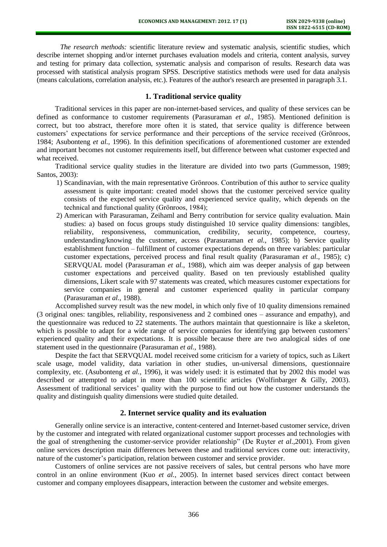*The research methods:* scientific literature review and systematic analysis, scientific studies, which describe internet shopping and/or internet purchases evaluation models and criteria, content analysis, survey and testing for primary data collection, systematic analysis and comparison of results. Research data was processed with statistical analysis program SPSS. Descriptive statistics methods were used for data analysis (means calculations, correlation analysis, etc.). Features of the author's research are presented in paragraph 3.1.

## **1. Traditional service quality**

Traditional services in this paper are non-internet-based services, and quality of these services can be defined as conformance to customer requirements (Parasuraman *et al.,* 1985). Mentioned definition is correct, but too abstract, therefore more often it is stated, that service quality is difference between customers' expectations for service performance and their perceptions of the service received (Grönroos, 1984; Asubonteng *et al.,* 1996). In this definition specifications of aforementioned customer are extended and important becomes not customer requirements itself, but difference between what customer expected and what received.

Traditional service quality studies in the literature are divided into two parts (Gummesson, 1989; Santos, 2003):

- 1) Scandinavian, with the main representative Grönroos. Contribution of this author to service quality assessment is quite important: created model shows that the customer perceived service quality consists of the expected service quality and experienced service quality, which depends on the technical and functional quality (Grönroos, 1984);
- 2) American with Parasuraman, Zeihaml and Berry contribution for service quality evaluation. Main studies: a) based on focus groups study distinguished 10 service quality dimensions: tangibles, reliability, responsiveness, communication, credibility, security, competence, courtesy, understanding/knowing the customer, access (Parasuraman *et al.*, 1985); b) Service quality establishment function – fulfillment of customer expectations depends on three variables: particular customer expectations, perceived process and final result quality (Parasuraman *et al.,* 1985); c) SERVQUAL model (Parasuraman *et al.,* 1988), which aim was deeper analysis of gap between customer expectations and perceived quality. Based on ten previously established quality dimensions, Likert scale with 97 statements was created, which measures customer expectations for service companies in general and customer experienced quality in particular company (Parasuraman *et al.,* 1988).

Accomplished survey result was the new model, in which only five of 10 quality dimensions remained (3 original ones: tangibles, reliability, responsiveness and 2 combined ones – assurance and empathy), and the questionnaire was reduced to 22 statements. The authors maintain that questionnaire is like a skeleton, which is possible to adapt for a wide range of service companies for identifying gap between customers' experienced quality and their expectations. It is possible because there are two analogical sides of one statement used in the questionnaire (Parasuraman *et al.,* 1988).

Despite the fact that SERVQUAL model received some criticism for a variety of topics, such as Likert scale usage, model validity, data variation in other studies, un-universal dimensions, questionnaire complexity, etc. (Asubonteng *et al.,* 1996), it was widely used: it is estimated that by 2002 this model was described or attempted to adapt in more than 100 scientific articles (Wolfinbarger & Gilly, 2003). Assessment of traditional services' quality with the purpose to find out how the customer understands the quality and distinguish quality dimensions were studied quite detailed.

## **2. Internet service quality and its evaluation**

Generally online service is an interactive, content-centered and Internet-based customer service, driven by the customer and integrated with related organizational customer support processes and technologies with the goal of strengthening the customer-service provider relationship" (De Ruyter *et al.*,2001). From given online services description main differences between these and traditional services come out: interactivity, nature of the customer's participation, relation between customer and service provider.

Customers of online services are not passive receivers of sales, but central persons who have more control in an online environment (Kuo *et al.,* 2005). In internet based services direct contact between customer and company employees disappears, interaction between the customer and website emerges.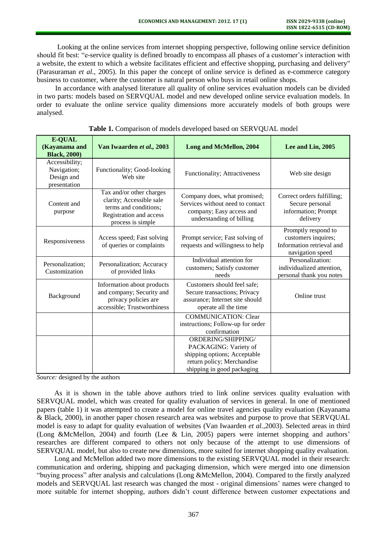Looking at the online services from internet shopping perspective, following online service definition should fit best: "e-service quality is defined broadly to encompass all phases of a customer's interaction with a website, the extent to which a website facilitates efficient and effective shopping, purchasing and delivery" (Parasuraman *et al.,* 2005). In this paper the concept of online service is defined as e-commerce category business to customer, where the customer is natural person who buys in retail online shops.

In accordance with analysed literature all quality of online services evaluation models can be divided in two parts: models based on SERVQUAL model and new developed online service evaluation models. In order to evaluate the online service quality dimensions more accurately models of both groups were analysed.

| <b>E-QUAL</b><br>(Kayanama and<br><b>Black, 2000)</b>       | Van Iwaarden et al., 2003                                                                                                     | <b>Long and McMellon, 2004</b>                                                                                                          | Lee and Lin, 2005                                                                           |
|-------------------------------------------------------------|-------------------------------------------------------------------------------------------------------------------------------|-----------------------------------------------------------------------------------------------------------------------------------------|---------------------------------------------------------------------------------------------|
| Accessibility;<br>Navigation;<br>Design and<br>presentation | Functionality; Good-looking<br>Web site                                                                                       | Functionality; Attractiveness                                                                                                           | Web site design                                                                             |
| Content and<br>purpose                                      | Tax and/or other charges<br>clarity; Accessible sale<br>terms and conditions;<br>Registration and access<br>process is simple | Company does, what promised;<br>Services without need to contact<br>company; Easy access and<br>understanding of billing                | Correct orders fulfilling;<br>Secure personal<br>information; Prompt<br>delivery            |
| Responsiveness                                              | Access speed; Fast solving<br>of queries or complaints                                                                        | Prompt service; Fast solving of<br>requests and willingness to help                                                                     | Promptly respond to<br>customers inquires;<br>Information retrieval and<br>navigation speed |
| Personalization;<br>Customization                           | Personalization; Accuracy<br>of provided links                                                                                | Individual attention for<br>customers; Satisfy customer<br>needs                                                                        | Personalization:<br>individualized attention,<br>personal thank you notes                   |
| Background                                                  | Information about products<br>and company; Security and<br>privacy policies are<br>accessible; Trustworthiness                | Customers should feel safe;<br>Secure transactions; Privacy<br>assurance; Internet site should<br>operate all the time                  | Online trust                                                                                |
|                                                             |                                                                                                                               | <b>COMMUNICATION: Clear</b><br>instructions; Follow-up for order<br>confirmation                                                        |                                                                                             |
|                                                             |                                                                                                                               | ORDERING/SHIPPING/<br>PACKAGING: Variety of<br>shipping options; Acceptable<br>return policy; Merchandise<br>shipping in good packaging |                                                                                             |

|  |  |  | Table 1. Comparison of models developed based on SERVQUAL model |
|--|--|--|-----------------------------------------------------------------|
|--|--|--|-----------------------------------------------------------------|

*Source:* designed by the authors

As it is shown in the table above authors tried to link online services quality evaluation with SERVQUAL model, which was created for quality evaluation of services in general. In one of mentioned papers (table 1) it was attempted to create a model for online travel agencies quality evaluation (Kayanama & Black, 2000), in another paper chosen research area was websites and purpose to prove that SERVQUAL model is easy to adapt for quality evaluation of websites (Van Iwaarden *et al.,*2003). Selected areas in third (Long &McMellon, 2004) and fourth (Lee & Lin, 2005) papers were internet shopping and authors' researches are different compared to others not only because of the attempt to use dimensions of SERVQUAL model, but also to create new dimensions, more suited for internet shopping quality evaluation.

 Long and McMellon added two more dimensions to the existing SERVQUAL model in their research: communication and ordering, shipping and packaging dimension, which were merged into one dimension "buying process" after analysis and calculations (Long &McMellon, 2004). Compared to the firstly analyzed models and SERVQUAL last research was changed the most - original dimensions' names were changed to more suitable for internet shopping, authors didn't count difference between customer expectations and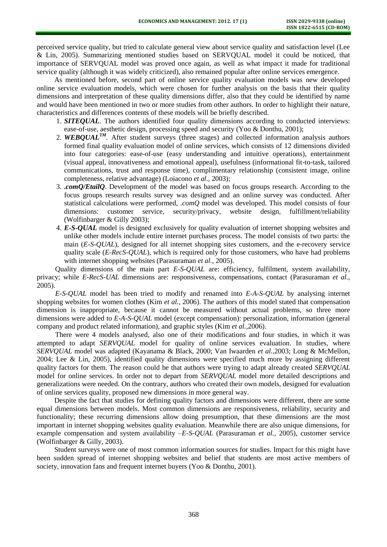perceived service quality, but tried to calculate general view about service quality and satisfaction level (Lee & Lin, 2005). Summarizing mentioned studies based on SERVQUAL model it could be noticed, that importance of SERVQUAL model was proved once again, as well as what impact it made for traditional service quality (although it was widely criticized), also remained popular after online services emergence.

As mentioned before, second part of online service quality evaluation models was new developed online service evaluation models, which were chosen for further analysis on the basis that their quality dimensions and interpretation of these quality dimensions differ, also that they could be identified by name and would have been mentioned in two or more studies from other authors. In order to highlight their nature, characteristics and differences contents of these models will be briefly described.

- 1. *SITEQUAL*. The authors identified four quality dimensions according to conducted interviews: ease-of-use, aesthetic design, processing speed and security (Yoo & Donthu, 2001);
- 2. **WEBQUAL<sup>TM</sup>**. After student surveys (three stages) and collected information analysis authors formed final quality evaluation model of online services, which consists of 12 dimensions divided into four categories: ease-of-use (easy understanding and intuitive operations), entertainment (visual appeal, innovativeness and emotional appeal), usefulness (informational fit-to-task, tailored communications, trust and response time), complimentary relationship (consistent image, online completeness, relative advantage) (Loiacono *et al.,* 2003);
- 3. **.***comQ/EtailQ*. Development of the model was based on focus groups research. According to the focus groups research results survey was designed and an online survey was conducted. After statistical calculations were performed, *.comQ* model was developed. This model consists of four dimensions: customer service, security/privacy, website design, fulfillment/reliability (Wolfinbarger & Gilly 2003);
- 4. *E-S-QUAL* model is designed exclusively for quality evaluation of internet shopping websites and unlike other models include entire internet purchases process. The model consists of two parts: the main (*E-S-QUAL*), designed for all internet shopping sites customers, and the e-recovery service quality scale (*E-RecS-QUAL*), which is required only for those customers, who have had problems with internet shopping websites (Parasuraman *et al.,* 2005).

Quality dimensions of the main part *E-S-QUAL* are: efficiency, fulfilment, system availability, privacy; while *E-RecS-UAL* dimensions are: responsiveness, compensations, contact (Parasuraman *et al.,*  2005).

*E-S-QUAL* model has been tried to modify and renamed into *E-A-S-QUAL* by analysing internet shopping websites for women clothes (Kim *et al.*, 2006). The authors of this model stated that compensation dimension is inappropriate, because it cannot be measured without actual problems, so three more dimensions were added to *E-A-S-QUAL* model (except compensation): personalization, information (general company and product related information), and graphic styles (Kim *et al.,*2006).

There were 4 models analysed, also one of their modifications and four studies, in which it was attempted to adapt *SERVQUAL* model for quality of online services evaluation. In studies, where *SERVQUAL* model was adapted (Kayanama & Black, 2000; Van Iwaarden *et al.,*2003; Long & McMellon, 2004; Lee & Lin, 2005), identified quality dimensions were specified much more by assigning different quality factors for them. The reason could be that authors were trying to adapt already created *SERVQUAL* model for online services. In order not to depart from *SERVQUAL* model more detailed descriptions and generalizations were needed. On the contrary, authors who created their own models, designed for evaluation of online services quality, proposed new dimensions in more general way.

 Despite the fact that studies for defining quality factors and dimensions were different, there are some equal dimensions between models. Most common dimensions are responsiveness, reliability, security and functionality; these recurring dimensions allow doing presumption, that these dimensions are the most important in internet shopping websites quality evaluation. Meanwhile there are also unique dimensions, for example compensation and system availability –*E-S-QUAL* (Parasuraman *et al.,* 2005), customer service (Wolfinbarger & Gilly, 2003).

 Student surveys were one of most common information sources for studies. Impact for this might have been sudden spread of internet shopping websites and belief that students are most active members of society, innovation fans and frequent internet buyers (Yoo & Donthu, 2001).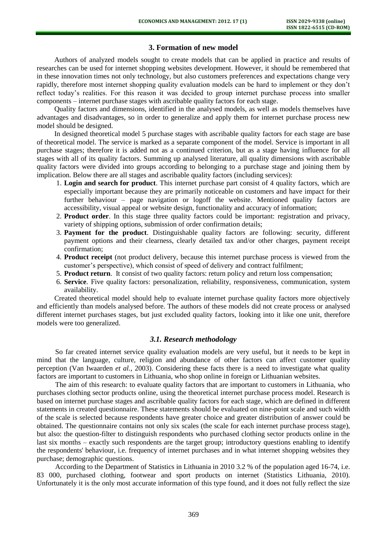## **3. Formation of new model**

 Authors of analyzed models sought to create models that can be applied in practice and results of researches can be used for internet shopping websites development. However, it should be remembered that in these innovation times not only technology, but also customers preferences and expectations change very rapidly, therefore most internet shopping quality evaluation models can be hard to implement or they don't reflect today's realities. For this reason it was decided to group internet purchase process into smaller components – internet purchase stages with ascribable quality factors for each stage.

Quality factors and dimensions, identified in the analysed models, as well as models themselves have advantages and disadvantages, so in order to generalize and apply them for internet purchase process new model should be designed.

 In designed theoretical model 5 purchase stages with ascribable quality factors for each stage are base of theoretical model. The service is marked as a separate component of the model. Service is important in all purchase stages; therefore it is added not as a continued criterion, but as a stage having influence for all stages with all of its quality factors. Summing up analysed literature, all quality dimensions with ascribable quality factors were divided into groups according to belonging to a purchase stage and joining them by implication. Below there are all stages and ascribable quality factors (including services):

- 1. **Login and search for product**. This internet purchase part consist of 4 quality factors, which are especially important because they are primarily noticeable on customers and have impact for their further behaviour – page navigation or logoff the website. Mentioned quality factors are accessibility, visual appeal or website design, functionality and accuracy of information;
- 2. **Product order**. In this stage three quality factors could be important: registration and privacy, variety of shipping options, submission of order confirmation details;
- 3. **Payment for the product**. Distinguishable quality factors are following: security, different payment options and their clearness, clearly detailed tax and/or other charges, payment receipt confirmation;
- 4. **Product receipt** (not product delivery, because this internet purchase process is viewed from the customer's perspective), which consist of speed of delivery and contract fulfilment;
- 5. **Product return**. It consist of two quality factors: return policy and return loss compensation;
- 6. **Service**. Five quality factors: personalization, reliability, responsiveness, communication, system availability.

Created theoretical model should help to evaluate internet purchase quality factors more objectively and efficiently than models analysed before. The authors of these models did not create process or analysed different internet purchases stages, but just excluded quality factors, looking into it like one unit, therefore models were too generalized.

## *3.1. Research methodology*

So far created internet service quality evaluation models are very useful, but it needs to be kept in mind that the language, culture, religion and abundance of other factors can affect customer quality perception (Van Iwaarden *et al.,* 2003). Considering these facts there is a need to investigate what quality factors are important to customers in Lithuania, who shop online in foreign or Lithuanian websites.

The aim of this research: to evaluate quality factors that are important to customers in Lithuania, who purchases clothing sector products online, using the theoretical internet purchase process model. Research is based on internet purchase stages and ascribable quality factors for each stage, which are defined in different statements in created questionnaire. These statements should be evaluated on nine-point scale and such width of the scale is selected because respondents have greater choice and greater distribution of answer could be obtained. The questionnaire contains not only six scales (the scale for each internet purchase process stage), but also: the question-filter to distinguish respondents who purchased clothing sector products online in the last six months – exactly such respondents are the target group; introductory questions enabling to identify the respondents' behaviour, i.e. frequency of internet purchases and in what internet shopping websites they purchase; demographic questions.

According to the Department of Statistics in Lithuania in 2010 3.2 % of the population aged 16-74, i.e. 83 000, purchased clothing, footwear and sport products on internet (Statistics Lithuania, 2010). Unfortunately it is the only most accurate information of this type found, and it does not fully reflect the size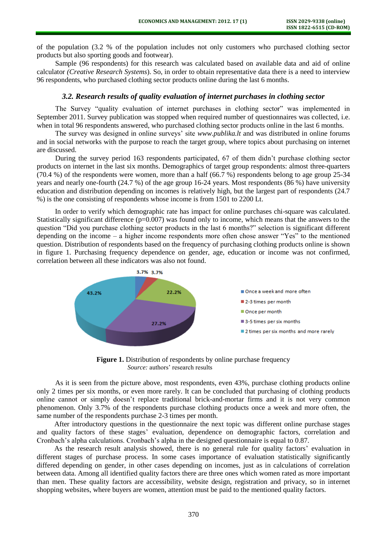of the population (3.2 % of the population includes not only customers who purchased clothing sector products but also sporting goods and footwear).

Sample (96 respondents) for this research was calculated based on available data and aid of online calculator *(Creative Research Systems*). So, in order to obtain representative data there is a need to interview 96 respondents, who purchased clothing sector products online during the last 6 months.

## *3.2. Research results of quality evaluation of internet purchases in clothing sector*

The Survey "quality evaluation of internet purchases in clothing sector" was implemented in September 2011. Survey publication was stopped when required number of questionnaires was collected, i.e. when in total 96 respondents answered, who purchased clothing sector products online in the last 6 months.

The survey was designed in online surveys' site *[www.publika.lt](http://www.publika.lt/)* and was distributed in online forums and in social networks with the purpose to reach the target group, where topics about purchasing on internet are discussed.

During the survey period 163 respondents participated, 67 of them didn't purchase clothing sector products on internet in the last six months. Demographics of target group respondents: almost three-quarters  $(70.4 \%)$  of the respondents were women, more than a half  $(66.7 \%)$  respondents belong to age group 25-34 years and nearly one-fourth (24.7 %) of the age group 16-24 years. Most respondents (86 %) have university education and distribution depending on incomes is relatively high, but the largest part of respondents (24.7 %) is the one consisting of respondents whose income is from 1501 to 2200 Lt.

In order to verify which demographic rate has impact for online purchases chi-square was calculated. Statistically significant difference  $(p=0.007)$  was found only to income, which means that the answers to the question "Did you purchase clothing sector products in the last 6 months?" selection is significant different depending on the income – a higher income respondents more often chose answer "Yes" to the mentioned question. Distribution of respondents based on the frequency of purchasing clothing products online is shown in figure 1. Purchasing frequency dependence on gender, age, education or income was not confirmed, correlation between all these indicators was also not found.



**Figure 1.** Distribution of respondents by online purchase frequency *Source:* authors' research results

As it is seen from the picture above, most respondents, even 43%, purchase clothing products online only 2 times per six months, or even more rarely. It can be concluded that purchasing of clothing products online cannot or simply doesn't replace traditional brick-and-mortar firms and it is not very common phenomenon. Only 3.7% of the respondents purchase clothing products once a week and more often, the same number of the respondents purchase 2-3 times per month.

After introductory questions in the questionnaire the next topic was different online purchase stages and quality factors of these stages' evaluation, dependence on demographic factors, correlation and Cronbach's alpha calculations. Cronbach's alpha in the designed questionnaire is equal to 0.87.

As the research result analysis showed, there is no general rule for quality factors' evaluation in different stages of purchase process. In some cases importance of evaluation statistically significantly differed depending on gender, in other cases depending on incomes, just as in calculations of correlation between data. Among all identified quality factors there are three ones which women rated as more important than men. These quality factors are accessibility, website design, registration and privacy, so in internet shopping websites, where buyers are women, attention must be paid to the mentioned quality factors.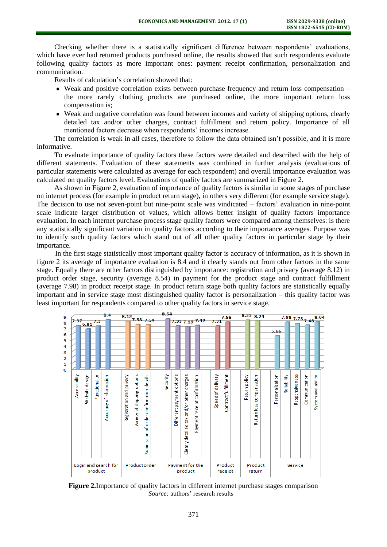Checking whether there is a statistically significant difference between respondents' evaluations, which have ever had returned products purchased online, the results showed that such respondents evaluate following quality factors as more important ones: payment receipt confirmation, personalization and communication.

Results of calculation's correlation showed that:

- Weak and positive correlation exists between purchase frequency and return loss compensation the more rarely clothing products are purchased online, the more important return loss compensation is;
- Weak and negative correlation was found between incomes and variety of shipping options, clearly detailed tax and/or other charges, contract fulfillment and return policy. Importance of all mentioned factors decrease when respondents' incomes increase.

The correlation is weak in all cases, therefore to follow the data obtained isn't possible, and it is more informative.

To evaluate importance of quality factors these factors were detailed and described with the help of different statements. Evaluation of these statements was combined in further analysis (evaluations of particular statements were calculated as average for each respondent) and overall importance evaluation was calculated on quality factors level. Evaluations of quality factors are summarized in Figure 2.

As shown in Figure 2, evaluation of importance of quality factors is similar in some stages of purchase on internet process (for example in product return stage), in others very different (for example service stage). The decision to use not seven-point but nine-point scale was vindicated – factors' evaluation in nine-point scale indicate larger distribution of values, which allows better insight of quality factors importance evaluation. In each internet purchase process stage quality factors were compared among themselves: is there any statistically significant variation in quality factors according to their importance averages. Purpose was to identify such quality factors which stand out of all other quality factors in particular stage by their importance.

In the first stage statistically most important quality factor is accuracy of information, as it is shown in figure 2 its average of importance evaluation is 8.4 and it clearly stands out from other factors in the same stage. Equally there are other factors distinguished by importance: registration and privacy (average 8.12) in product order stage, security (average 8.54) in payment for the product stage and contract fulfillment (average 7.98) in product receipt stage. In product return stage both quality factors are statistically equally important and in service stage most distinguished quality factor is personalization – this quality factor was least important for respondents compared to other quality factors in service stage.

| 9      |                                 |                |               | 8.4                     |  |                             | $8.12$ <sub>7.58</sub> 7.54    |                                             | 8.54     |                           |                                              |                              |                     | 7.98                 | 8.33 8.24         |                             |                 | $7.98$ 7.73 7.48 |                |               | 8.04                |  |
|--------|---------------------------------|----------------|---------------|-------------------------|--|-----------------------------|--------------------------------|---------------------------------------------|----------|---------------------------|----------------------------------------------|------------------------------|---------------------|----------------------|-------------------|-----------------------------|-----------------|------------------|----------------|---------------|---------------------|--|
| 8      | 7.37                            | 6.81           | 7.3           |                         |  |                             |                                |                                             |          |                           |                                              |                              | 7.33 7.19 7.42 7.31 |                      |                   |                             |                 |                  |                |               |                     |  |
| 7      |                                 |                |               |                         |  |                             |                                |                                             |          |                           |                                              |                              |                     |                      |                   |                             | 5.66            |                  |                |               |                     |  |
| 6      |                                 |                |               |                         |  |                             |                                |                                             |          |                           |                                              |                              |                     |                      |                   |                             |                 |                  |                |               |                     |  |
| 5<br>4 |                                 |                |               |                         |  |                             |                                |                                             |          |                           |                                              |                              |                     |                      |                   |                             |                 |                  |                |               |                     |  |
| 3      |                                 |                |               |                         |  |                             |                                |                                             |          |                           |                                              |                              |                     |                      |                   |                             |                 |                  |                |               |                     |  |
| 2      |                                 |                |               |                         |  |                             |                                |                                             |          |                           |                                              |                              |                     |                      |                   |                             |                 |                  |                |               |                     |  |
| 1      |                                 |                |               |                         |  |                             |                                |                                             |          |                           |                                              |                              |                     |                      |                   |                             |                 |                  |                |               |                     |  |
| o      | Accessibility                   | Website design | Functionality | Accuracy of information |  | privacy<br>Registration and | options<br>Variety of shipping | order confirmation details<br>Submission of | Security | Different payment options | and/or other charges<br>Clearly detailed tax | Payment receipt confirmation | Speed of delivery   | Contract fulfillment | Return policy     | compensation<br>Return loss | Personalization | Reliability      | Responsiveness | Communication | System availability |  |
|        | Login and search for<br>product |                |               |                         |  | Productorder                |                                |                                             |          | product                   | Payment for the                              |                              | Product<br>receipt  |                      | Product<br>return |                             |                 | Service          |                |               |                     |  |

**Figure 2.**Importance of quality factors in different internet purchase stages comparison *Source:* authors' research results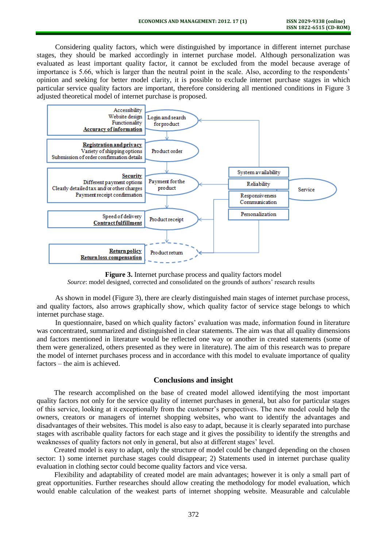Considering quality factors, which were distinguished by importance in different internet purchase stages, they should be marked accordingly in internet purchase model. Although personalization was evaluated as least important quality factor, it cannot be excluded from the model because average of importance is 5.66, which is larger than the neutral point in the scale. Also, according to the respondents' opinion and seeking for better model clarity, it is possible to exclude internet purchase stages in which particular service quality factors are important, therefore considering all mentioned conditions in Figure 3 adjusted theoretical model of internet purchase is proposed.



**Figure 3.** Internet purchase process and quality factors model *Source*: model designed, corrected and consolidated on the grounds of authors' research results

As shown in model (Figure 3), there are clearly distinguished main stages of internet purchase process, and quality factors, also arrows graphically show, which quality factor of service stage belongs to which internet purchase stage.

In questionnaire, based on which quality factors' evaluation was made, information found in literature was concentrated, summarized and distinguished in clear statements. The aim was that all quality dimensions and factors mentioned in literature would be reflected one way or another in created statements (some of them were generalized, others presented as they were in literature). The aim of this research was to prepare the model of internet purchases process and in accordance with this model to evaluate importance of quality factors – the aim is achieved.

## **Conclusions and insight**

The research accomplished on the base of created model allowed identifying the most important quality factors not only for the service quality of internet purchases in general, but also for particular stages of this service, looking at it exceptionally from the customer's perspectives. The new model could help the owners, creators or managers of internet shopping websites, who want to identify the advantages and disadvantages of their websites. This model is also easy to adapt, because it is clearly separated into purchase stages with ascribable quality factors for each stage and it gives the possibility to identify the strengths and weaknesses of quality factors not only in general, but also at different stages' level.

Created model is easy to adapt, only the structure of model could be changed depending on the chosen sector: 1) some internet purchase stages could disappear; 2) Statements used in internet purchase quality evaluation in clothing sector could become quality factors and vice versa.

Flexibility and adaptability of created model are main advantages; however it is only a small part of great opportunities. Further researches should allow creating the methodology for model evaluation, which would enable calculation of the weakest parts of internet shopping website. Measurable and calculable